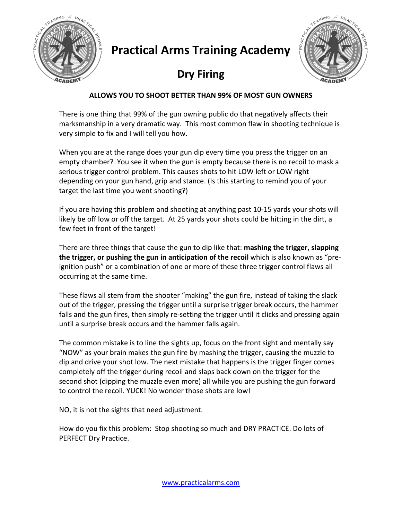

## **Practical Arms Training Academy**

## **Dry Firing**



## **ALLOWS YOU TO SHOOT BETTER THAN 99% OF MOST GUN OWNERS**

There is one thing that 99% of the gun owning public do that negatively affects their marksmanship in a very dramatic way. This most common flaw in shooting technique is very simple to fix and I will tell you how.

When you are at the range does your gun dip every time you press the trigger on an empty chamber? You see it when the gun is empty because there is no recoil to mask a serious trigger control problem. This causes shots to hit LOW left or LOW right depending on your gun hand, grip and stance. (Is this starting to remind you of your target the last time you went shooting?)

If you are having this problem and shooting at anything past 10-15 yards your shots will likely be off low or off the target. At 25 yards your shots could be hitting in the dirt, a few feet in front of the target!

There are three things that cause the gun to dip like that: **mashing the trigger, slapping the trigger, or pushing the gun in anticipation of the recoil** which is also known as "preignition push" or a combination of one or more of these three trigger control flaws all occurring at the same time.

These flaws all stem from the shooter "making" the gun fire, instead of taking the slack out of the trigger, pressing the trigger until a surprise trigger break occurs, the hammer falls and the gun fires, then simply re-setting the trigger until it clicks and pressing again until a surprise break occurs and the hammer falls again.

The common mistake is to line the sights up, focus on the front sight and mentally say "NOW" as your brain makes the gun fire by mashing the trigger, causing the muzzle to dip and drive your shot low. The next mistake that happens is the trigger finger comes completely off the trigger during recoil and slaps back down on the trigger for the second shot (dipping the muzzle even more) all while you are pushing the gun forward to control the recoil. YUCK! No wonder those shots are low!

NO, it is not the sights that need adjustment.

How do you fix this problem: Stop shooting so much and DRY PRACTICE. Do lots of PERFECT Dry Practice.